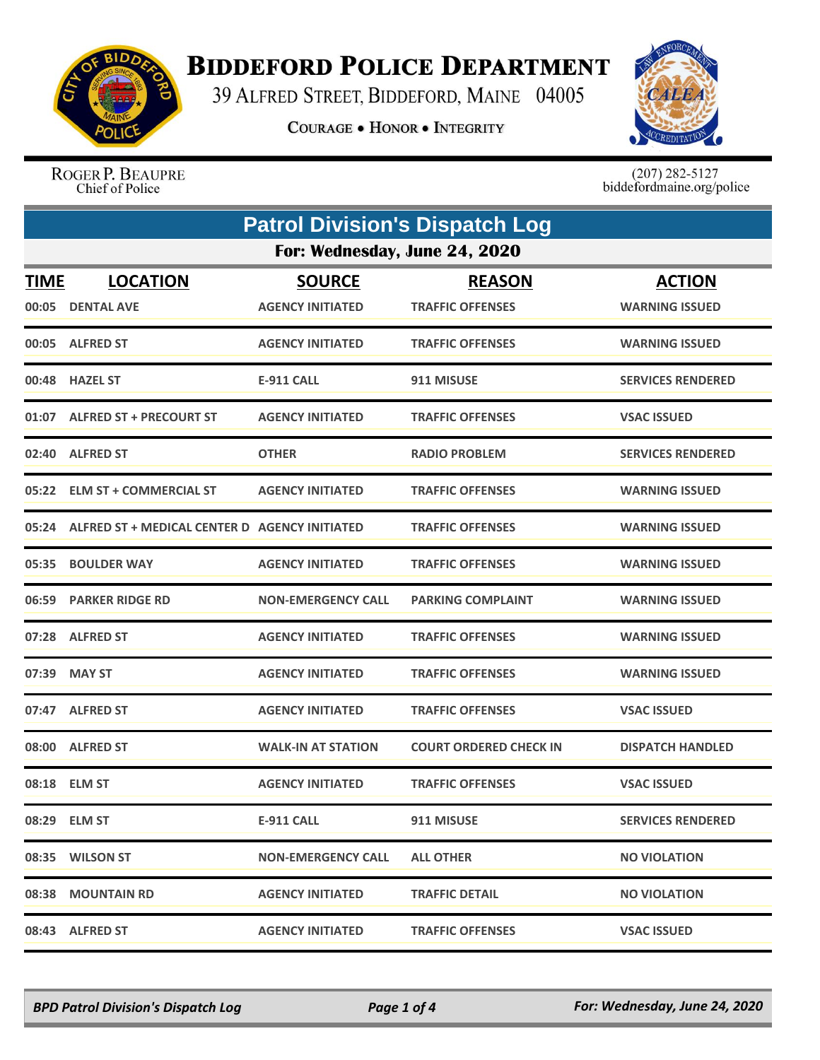

## **BIDDEFORD POLICE DEPARTMENT**

39 ALFRED STREET, BIDDEFORD, MAINE 04005

**COURAGE . HONOR . INTEGRITY** 



ROGER P. BEAUPRE Chief of Police

 $(207)$  282-5127<br>biddefordmaine.org/police

|                      | <b>Patrol Division's Dispatch Log</b><br>For: Wednesday, June 24, 2020 |                                          |                                          |                                        |  |
|----------------------|------------------------------------------------------------------------|------------------------------------------|------------------------------------------|----------------------------------------|--|
|                      |                                                                        |                                          |                                          |                                        |  |
| <b>TIME</b><br>00:05 | <b>LOCATION</b><br><b>DENTAL AVE</b>                                   | <b>SOURCE</b><br><b>AGENCY INITIATED</b> | <b>REASON</b><br><b>TRAFFIC OFFENSES</b> | <b>ACTION</b><br><b>WARNING ISSUED</b> |  |
|                      | 00:05 ALFRED ST                                                        | <b>AGENCY INITIATED</b>                  | <b>TRAFFIC OFFENSES</b>                  | <b>WARNING ISSUED</b>                  |  |
|                      | 00:48 HAZEL ST                                                         | <b>E-911 CALL</b>                        | 911 MISUSE                               | <b>SERVICES RENDERED</b>               |  |
| 01:07                | <b>ALFRED ST + PRECOURT ST</b>                                         | <b>AGENCY INITIATED</b>                  | <b>TRAFFIC OFFENSES</b>                  | <b>VSAC ISSUED</b>                     |  |
|                      | 02:40 ALFRED ST                                                        | <b>OTHER</b>                             | <b>RADIO PROBLEM</b>                     | <b>SERVICES RENDERED</b>               |  |
|                      | 05:22 ELM ST + COMMERCIAL ST                                           | <b>AGENCY INITIATED</b>                  | <b>TRAFFIC OFFENSES</b>                  | <b>WARNING ISSUED</b>                  |  |
| 05:24                | ALFRED ST + MEDICAL CENTER D AGENCY INITIATED                          |                                          | <b>TRAFFIC OFFENSES</b>                  | <b>WARNING ISSUED</b>                  |  |
| 05:35                | <b>BOULDER WAY</b>                                                     | <b>AGENCY INITIATED</b>                  | <b>TRAFFIC OFFENSES</b>                  | <b>WARNING ISSUED</b>                  |  |
|                      | 06:59 PARKER RIDGE RD                                                  | <b>NON-EMERGENCY CALL</b>                | <b>PARKING COMPLAINT</b>                 | <b>WARNING ISSUED</b>                  |  |
|                      | 07:28 ALFRED ST                                                        | <b>AGENCY INITIATED</b>                  | <b>TRAFFIC OFFENSES</b>                  | <b>WARNING ISSUED</b>                  |  |
| 07:39                | <b>MAY ST</b>                                                          | <b>AGENCY INITIATED</b>                  | <b>TRAFFIC OFFENSES</b>                  | <b>WARNING ISSUED</b>                  |  |
|                      | 07:47 ALFRED ST                                                        | <b>AGENCY INITIATED</b>                  | <b>TRAFFIC OFFENSES</b>                  | <b>VSAC ISSUED</b>                     |  |
| 08:00                | <b>ALFRED ST</b>                                                       | <b>WALK-IN AT STATION</b>                | <b>COURT ORDERED CHECK IN</b>            | <b>DISPATCH HANDLED</b>                |  |
|                      | 08:18 ELM ST                                                           | <b>AGENCY INITIATED</b>                  | <b>TRAFFIC OFFENSES</b>                  | <b>VSAC ISSUED</b>                     |  |
|                      | 08:29 ELM ST                                                           | <b>E-911 CALL</b>                        | 911 MISUSE                               | <b>SERVICES RENDERED</b>               |  |
|                      | 08:35 WILSON ST                                                        | <b>NON-EMERGENCY CALL</b>                | <b>ALL OTHER</b>                         | <b>NO VIOLATION</b>                    |  |
|                      | 08:38 MOUNTAIN RD                                                      | <b>AGENCY INITIATED</b>                  | <b>TRAFFIC DETAIL</b>                    | <b>NO VIOLATION</b>                    |  |
|                      | 08:43 ALFRED ST                                                        | <b>AGENCY INITIATED</b>                  | <b>TRAFFIC OFFENSES</b>                  | <b>VSAC ISSUED</b>                     |  |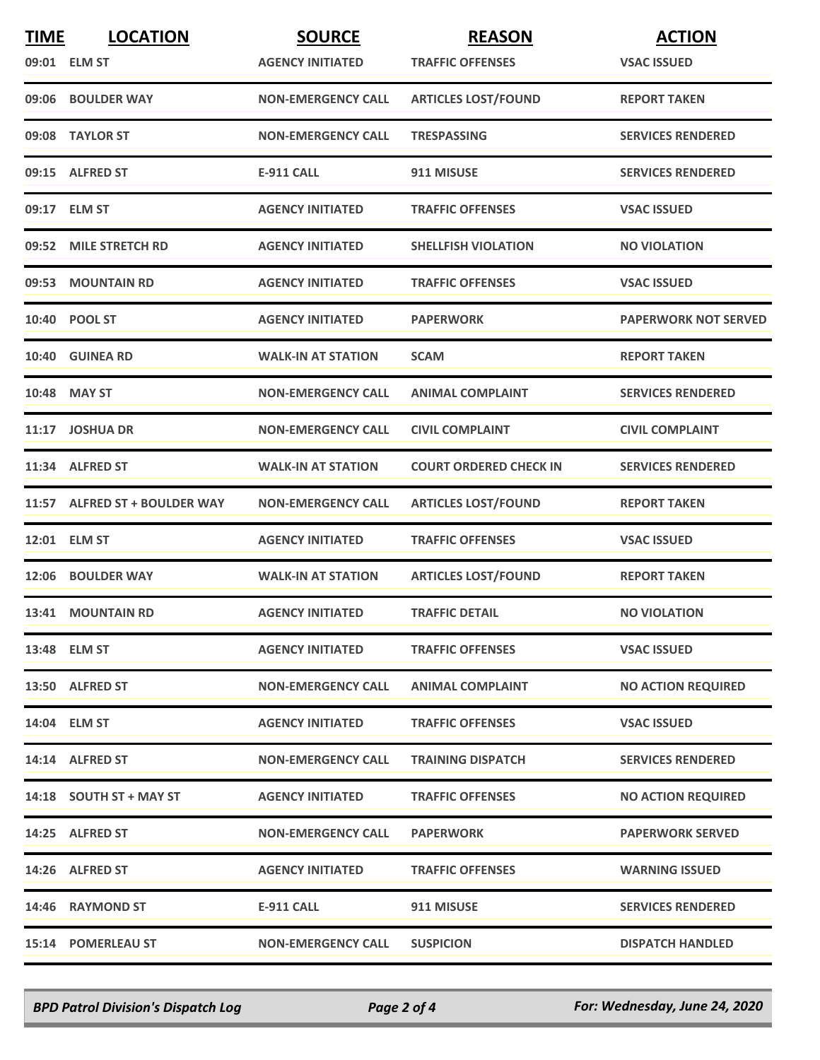| <b>TIME</b> | <b>LOCATION</b>               | <b>SOURCE</b>             | <b>REASON</b>                 | <b>ACTION</b>               |
|-------------|-------------------------------|---------------------------|-------------------------------|-----------------------------|
|             | 09:01 ELM ST                  | <b>AGENCY INITIATED</b>   | <b>TRAFFIC OFFENSES</b>       | <b>VSAC ISSUED</b>          |
|             | 09:06 BOULDER WAY             | <b>NON-EMERGENCY CALL</b> | <b>ARTICLES LOST/FOUND</b>    | <b>REPORT TAKEN</b>         |
|             | 09:08 TAYLOR ST               | <b>NON-EMERGENCY CALL</b> | TRESPASSING                   | <b>SERVICES RENDERED</b>    |
|             | 09:15 ALFRED ST               | <b>E-911 CALL</b>         | 911 MISUSE                    | <b>SERVICES RENDERED</b>    |
|             | 09:17 ELM ST                  | <b>AGENCY INITIATED</b>   | <b>TRAFFIC OFFENSES</b>       | <b>VSAC ISSUED</b>          |
|             | 09:52 MILE STRETCH RD         | <b>AGENCY INITIATED</b>   | <b>SHELLFISH VIOLATION</b>    | <b>NO VIOLATION</b>         |
|             | 09:53 MOUNTAIN RD             | <b>AGENCY INITIATED</b>   | <b>TRAFFIC OFFENSES</b>       | <b>VSAC ISSUED</b>          |
|             | 10:40 POOL ST                 | <b>AGENCY INITIATED</b>   | <b>PAPERWORK</b>              | <b>PAPERWORK NOT SERVED</b> |
|             | 10:40 GUINEA RD               | <b>WALK-IN AT STATION</b> | <b>SCAM</b>                   | <b>REPORT TAKEN</b>         |
| 10:48       | <b>MAY ST</b>                 | <b>NON-EMERGENCY CALL</b> | <b>ANIMAL COMPLAINT</b>       | <b>SERVICES RENDERED</b>    |
|             | 11:17 JOSHUA DR               | <b>NON-EMERGENCY CALL</b> | <b>CIVIL COMPLAINT</b>        | <b>CIVIL COMPLAINT</b>      |
|             | 11:34 ALFRED ST               | <b>WALK-IN AT STATION</b> | <b>COURT ORDERED CHECK IN</b> | <b>SERVICES RENDERED</b>    |
|             | 11:57 ALFRED ST + BOULDER WAY | <b>NON-EMERGENCY CALL</b> | <b>ARTICLES LOST/FOUND</b>    | <b>REPORT TAKEN</b>         |
|             | 12:01 ELM ST                  | <b>AGENCY INITIATED</b>   | <b>TRAFFIC OFFENSES</b>       | <b>VSAC ISSUED</b>          |
|             | 12:06 BOULDER WAY             | <b>WALK-IN AT STATION</b> | <b>ARTICLES LOST/FOUND</b>    | <b>REPORT TAKEN</b>         |
|             | 13:41 MOUNTAIN RD             | <b>AGENCY INITIATED</b>   | <b>TRAFFIC DETAIL</b>         | <b>NO VIOLATION</b>         |
|             | 13:48 ELM ST                  | <b>AGENCY INITIATED</b>   | <b>TRAFFIC OFFENSES</b>       | <b>VSAC ISSUED</b>          |
|             | 13:50 ALFRED ST               | <b>NON-EMERGENCY CALL</b> | <b>ANIMAL COMPLAINT</b>       | <b>NO ACTION REQUIRED</b>   |
|             | 14:04 ELM ST                  | <b>AGENCY INITIATED</b>   | <b>TRAFFIC OFFENSES</b>       | <b>VSAC ISSUED</b>          |
|             | 14:14 ALFRED ST               | <b>NON-EMERGENCY CALL</b> | <b>TRAINING DISPATCH</b>      | <b>SERVICES RENDERED</b>    |
|             | $14:18$ SOUTH ST + MAY ST     | <b>AGENCY INITIATED</b>   | <b>TRAFFIC OFFENSES</b>       | <b>NO ACTION REQUIRED</b>   |
|             | 14:25 ALFRED ST               | <b>NON-EMERGENCY CALL</b> | <b>PAPERWORK</b>              | <b>PAPERWORK SERVED</b>     |
|             | 14:26 ALFRED ST               | <b>AGENCY INITIATED</b>   | <b>TRAFFIC OFFENSES</b>       | <b>WARNING ISSUED</b>       |
|             | 14:46 RAYMOND ST              | <b>E-911 CALL</b>         | 911 MISUSE                    | <b>SERVICES RENDERED</b>    |
|             | 15:14 POMERLEAU ST            | <b>NON-EMERGENCY CALL</b> | <b>SUSPICION</b>              | <b>DISPATCH HANDLED</b>     |

*BPD Patrol Division's Dispatch Log Page 2 of 4 For: Wednesday, June 24, 2020*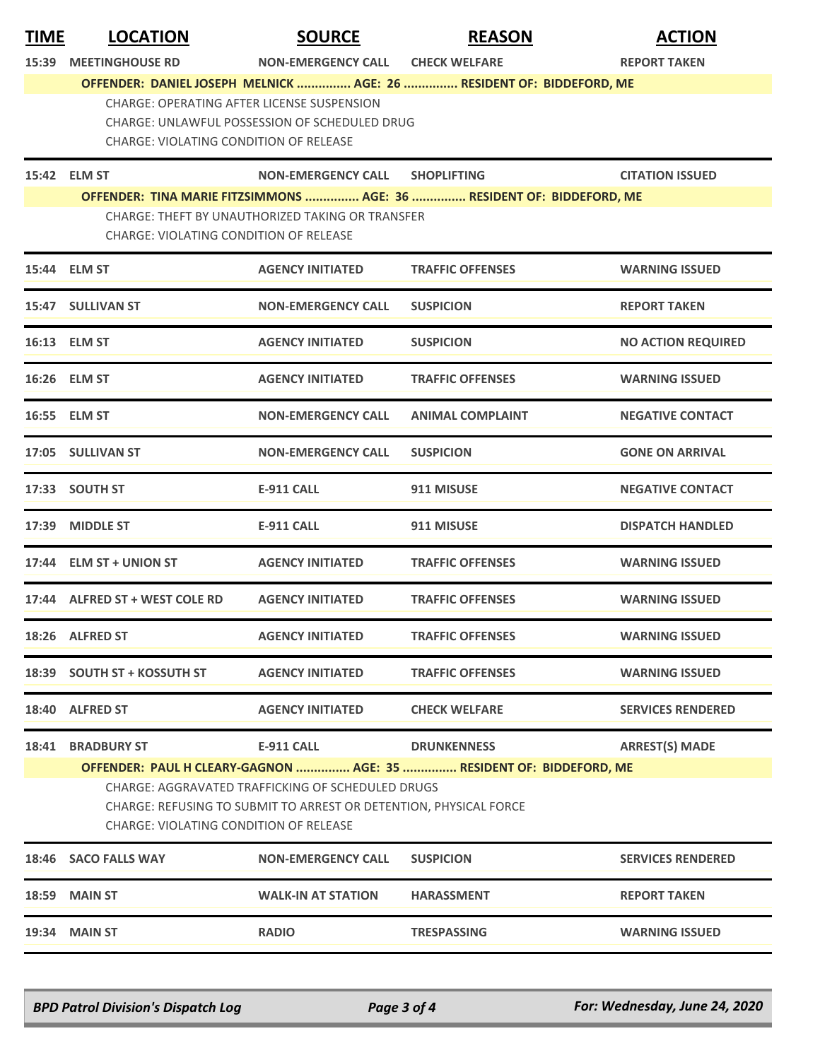| 15:39<br><b>CHECK WELFARE</b><br><b>MEETINGHOUSE RD</b><br><b>NON-EMERGENCY CALL</b><br><b>REPORT TAKEN</b><br>OFFENDER: DANIEL JOSEPH MELNICK  AGE: 26  RESIDENT OF: BIDDEFORD, ME<br><b>CHARGE: OPERATING AFTER LICENSE SUSPENSION</b><br>CHARGE: UNLAWFUL POSSESSION OF SCHEDULED DRUG<br>CHARGE: VIOLATING CONDITION OF RELEASE<br>15:42 ELM ST<br>NON-EMERGENCY CALL SHOPLIFTING<br><b>CITATION ISSUED</b><br>OFFENDER: TINA MARIE FITZSIMMONS  AGE: 36  RESIDENT OF: BIDDEFORD, ME<br>CHARGE: THEFT BY UNAUTHORIZED TAKING OR TRANSFER<br><b>CHARGE: VIOLATING CONDITION OF RELEASE</b><br>15:44 ELM ST<br><b>AGENCY INITIATED</b><br><b>TRAFFIC OFFENSES</b><br><b>WARNING ISSUED</b><br>15:47 SULLIVAN ST<br><b>NON-EMERGENCY CALL</b><br><b>REPORT TAKEN</b><br><b>SUSPICION</b><br><b>AGENCY INITIATED</b><br><b>NO ACTION REQUIRED</b><br>16:13 ELM ST<br><b>SUSPICION</b><br>16:26 ELM ST<br><b>AGENCY INITIATED</b><br><b>TRAFFIC OFFENSES</b><br><b>WARNING ISSUED</b><br>16:55 ELM ST<br><b>NON-EMERGENCY CALL</b><br><b>ANIMAL COMPLAINT</b><br><b>NEGATIVE CONTACT</b><br>17:05 SULLIVAN ST<br><b>NON-EMERGENCY CALL</b><br><b>SUSPICION</b><br><b>GONE ON ARRIVAL</b><br><b>SOUTH ST</b><br><b>E-911 CALL</b><br>911 MISUSE<br><b>NEGATIVE CONTACT</b><br>17:33<br>17:39 MIDDLE ST<br><b>DISPATCH HANDLED</b><br>E-911 CALL<br>911 MISUSE<br>17:44 ELM ST + UNION ST<br><b>AGENCY INITIATED</b><br><b>TRAFFIC OFFENSES</b><br><b>WARNING ISSUED</b><br>17:44 ALFRED ST + WEST COLE RD<br><b>AGENCY INITIATED</b><br><b>TRAFFIC OFFENSES</b><br><b>WARNING ISSUED</b><br><b>AGENCY INITIATED</b><br>18:26 ALFRED ST<br><b>TRAFFIC OFFENSES</b><br><b>WARNING ISSUED</b><br>18:39 SOUTH ST + KOSSUTH ST<br><b>AGENCY INITIATED</b><br><b>TRAFFIC OFFENSES</b><br><b>WARNING ISSUED</b><br><b>AGENCY INITIATED</b><br>18:40 ALFRED ST<br><b>CHECK WELFARE</b><br><b>SERVICES RENDERED</b><br><b>BRADBURY ST</b><br>E-911 CALL<br><b>DRUNKENNESS</b><br><b>ARREST(S) MADE</b><br>18:41<br>OFFENDER: PAUL H CLEARY-GAGNON  AGE: 35  RESIDENT OF: BIDDEFORD, ME<br>CHARGE: AGGRAVATED TRAFFICKING OF SCHEDULED DRUGS<br>CHARGE: REFUSING TO SUBMIT TO ARREST OR DETENTION, PHYSICAL FORCE<br>CHARGE: VIOLATING CONDITION OF RELEASE<br>18:46 SACO FALLS WAY<br><b>SERVICES RENDERED</b><br><b>NON-EMERGENCY CALL</b><br><b>SUSPICION</b><br><b>18:59 MAIN ST</b><br><b>WALK-IN AT STATION</b><br><b>HARASSMENT</b><br><b>REPORT TAKEN</b><br><b>19:34 MAIN ST</b><br><b>RADIO</b><br><b>TRESPASSING</b><br><b>WARNING ISSUED</b> | <b>TIME</b> | <b>LOCATION</b> | <b>SOURCE</b> | <b>REASON</b> | <b>ACTION</b> |
|----------------------------------------------------------------------------------------------------------------------------------------------------------------------------------------------------------------------------------------------------------------------------------------------------------------------------------------------------------------------------------------------------------------------------------------------------------------------------------------------------------------------------------------------------------------------------------------------------------------------------------------------------------------------------------------------------------------------------------------------------------------------------------------------------------------------------------------------------------------------------------------------------------------------------------------------------------------------------------------------------------------------------------------------------------------------------------------------------------------------------------------------------------------------------------------------------------------------------------------------------------------------------------------------------------------------------------------------------------------------------------------------------------------------------------------------------------------------------------------------------------------------------------------------------------------------------------------------------------------------------------------------------------------------------------------------------------------------------------------------------------------------------------------------------------------------------------------------------------------------------------------------------------------------------------------------------------------------------------------------------------------------------------------------------------------------------------------------------------------------------------------------------------------------------------------------------------------------------------------------------------------------------------------------------------------------------------------------------------------------------------------------------------------------------------------------------------------------------------------------------------------------------------------------|-------------|-----------------|---------------|---------------|---------------|
|                                                                                                                                                                                                                                                                                                                                                                                                                                                                                                                                                                                                                                                                                                                                                                                                                                                                                                                                                                                                                                                                                                                                                                                                                                                                                                                                                                                                                                                                                                                                                                                                                                                                                                                                                                                                                                                                                                                                                                                                                                                                                                                                                                                                                                                                                                                                                                                                                                                                                                                                              |             |                 |               |               |               |
|                                                                                                                                                                                                                                                                                                                                                                                                                                                                                                                                                                                                                                                                                                                                                                                                                                                                                                                                                                                                                                                                                                                                                                                                                                                                                                                                                                                                                                                                                                                                                                                                                                                                                                                                                                                                                                                                                                                                                                                                                                                                                                                                                                                                                                                                                                                                                                                                                                                                                                                                              |             |                 |               |               |               |
|                                                                                                                                                                                                                                                                                                                                                                                                                                                                                                                                                                                                                                                                                                                                                                                                                                                                                                                                                                                                                                                                                                                                                                                                                                                                                                                                                                                                                                                                                                                                                                                                                                                                                                                                                                                                                                                                                                                                                                                                                                                                                                                                                                                                                                                                                                                                                                                                                                                                                                                                              |             |                 |               |               |               |
|                                                                                                                                                                                                                                                                                                                                                                                                                                                                                                                                                                                                                                                                                                                                                                                                                                                                                                                                                                                                                                                                                                                                                                                                                                                                                                                                                                                                                                                                                                                                                                                                                                                                                                                                                                                                                                                                                                                                                                                                                                                                                                                                                                                                                                                                                                                                                                                                                                                                                                                                              |             |                 |               |               |               |
|                                                                                                                                                                                                                                                                                                                                                                                                                                                                                                                                                                                                                                                                                                                                                                                                                                                                                                                                                                                                                                                                                                                                                                                                                                                                                                                                                                                                                                                                                                                                                                                                                                                                                                                                                                                                                                                                                                                                                                                                                                                                                                                                                                                                                                                                                                                                                                                                                                                                                                                                              |             |                 |               |               |               |
|                                                                                                                                                                                                                                                                                                                                                                                                                                                                                                                                                                                                                                                                                                                                                                                                                                                                                                                                                                                                                                                                                                                                                                                                                                                                                                                                                                                                                                                                                                                                                                                                                                                                                                                                                                                                                                                                                                                                                                                                                                                                                                                                                                                                                                                                                                                                                                                                                                                                                                                                              |             |                 |               |               |               |
|                                                                                                                                                                                                                                                                                                                                                                                                                                                                                                                                                                                                                                                                                                                                                                                                                                                                                                                                                                                                                                                                                                                                                                                                                                                                                                                                                                                                                                                                                                                                                                                                                                                                                                                                                                                                                                                                                                                                                                                                                                                                                                                                                                                                                                                                                                                                                                                                                                                                                                                                              |             |                 |               |               |               |
|                                                                                                                                                                                                                                                                                                                                                                                                                                                                                                                                                                                                                                                                                                                                                                                                                                                                                                                                                                                                                                                                                                                                                                                                                                                                                                                                                                                                                                                                                                                                                                                                                                                                                                                                                                                                                                                                                                                                                                                                                                                                                                                                                                                                                                                                                                                                                                                                                                                                                                                                              |             |                 |               |               |               |
|                                                                                                                                                                                                                                                                                                                                                                                                                                                                                                                                                                                                                                                                                                                                                                                                                                                                                                                                                                                                                                                                                                                                                                                                                                                                                                                                                                                                                                                                                                                                                                                                                                                                                                                                                                                                                                                                                                                                                                                                                                                                                                                                                                                                                                                                                                                                                                                                                                                                                                                                              |             |                 |               |               |               |
|                                                                                                                                                                                                                                                                                                                                                                                                                                                                                                                                                                                                                                                                                                                                                                                                                                                                                                                                                                                                                                                                                                                                                                                                                                                                                                                                                                                                                                                                                                                                                                                                                                                                                                                                                                                                                                                                                                                                                                                                                                                                                                                                                                                                                                                                                                                                                                                                                                                                                                                                              |             |                 |               |               |               |
|                                                                                                                                                                                                                                                                                                                                                                                                                                                                                                                                                                                                                                                                                                                                                                                                                                                                                                                                                                                                                                                                                                                                                                                                                                                                                                                                                                                                                                                                                                                                                                                                                                                                                                                                                                                                                                                                                                                                                                                                                                                                                                                                                                                                                                                                                                                                                                                                                                                                                                                                              |             |                 |               |               |               |
|                                                                                                                                                                                                                                                                                                                                                                                                                                                                                                                                                                                                                                                                                                                                                                                                                                                                                                                                                                                                                                                                                                                                                                                                                                                                                                                                                                                                                                                                                                                                                                                                                                                                                                                                                                                                                                                                                                                                                                                                                                                                                                                                                                                                                                                                                                                                                                                                                                                                                                                                              |             |                 |               |               |               |
|                                                                                                                                                                                                                                                                                                                                                                                                                                                                                                                                                                                                                                                                                                                                                                                                                                                                                                                                                                                                                                                                                                                                                                                                                                                                                                                                                                                                                                                                                                                                                                                                                                                                                                                                                                                                                                                                                                                                                                                                                                                                                                                                                                                                                                                                                                                                                                                                                                                                                                                                              |             |                 |               |               |               |
|                                                                                                                                                                                                                                                                                                                                                                                                                                                                                                                                                                                                                                                                                                                                                                                                                                                                                                                                                                                                                                                                                                                                                                                                                                                                                                                                                                                                                                                                                                                                                                                                                                                                                                                                                                                                                                                                                                                                                                                                                                                                                                                                                                                                                                                                                                                                                                                                                                                                                                                                              |             |                 |               |               |               |
|                                                                                                                                                                                                                                                                                                                                                                                                                                                                                                                                                                                                                                                                                                                                                                                                                                                                                                                                                                                                                                                                                                                                                                                                                                                                                                                                                                                                                                                                                                                                                                                                                                                                                                                                                                                                                                                                                                                                                                                                                                                                                                                                                                                                                                                                                                                                                                                                                                                                                                                                              |             |                 |               |               |               |
|                                                                                                                                                                                                                                                                                                                                                                                                                                                                                                                                                                                                                                                                                                                                                                                                                                                                                                                                                                                                                                                                                                                                                                                                                                                                                                                                                                                                                                                                                                                                                                                                                                                                                                                                                                                                                                                                                                                                                                                                                                                                                                                                                                                                                                                                                                                                                                                                                                                                                                                                              |             |                 |               |               |               |
|                                                                                                                                                                                                                                                                                                                                                                                                                                                                                                                                                                                                                                                                                                                                                                                                                                                                                                                                                                                                                                                                                                                                                                                                                                                                                                                                                                                                                                                                                                                                                                                                                                                                                                                                                                                                                                                                                                                                                                                                                                                                                                                                                                                                                                                                                                                                                                                                                                                                                                                                              |             |                 |               |               |               |
|                                                                                                                                                                                                                                                                                                                                                                                                                                                                                                                                                                                                                                                                                                                                                                                                                                                                                                                                                                                                                                                                                                                                                                                                                                                                                                                                                                                                                                                                                                                                                                                                                                                                                                                                                                                                                                                                                                                                                                                                                                                                                                                                                                                                                                                                                                                                                                                                                                                                                                                                              |             |                 |               |               |               |
|                                                                                                                                                                                                                                                                                                                                                                                                                                                                                                                                                                                                                                                                                                                                                                                                                                                                                                                                                                                                                                                                                                                                                                                                                                                                                                                                                                                                                                                                                                                                                                                                                                                                                                                                                                                                                                                                                                                                                                                                                                                                                                                                                                                                                                                                                                                                                                                                                                                                                                                                              |             |                 |               |               |               |
|                                                                                                                                                                                                                                                                                                                                                                                                                                                                                                                                                                                                                                                                                                                                                                                                                                                                                                                                                                                                                                                                                                                                                                                                                                                                                                                                                                                                                                                                                                                                                                                                                                                                                                                                                                                                                                                                                                                                                                                                                                                                                                                                                                                                                                                                                                                                                                                                                                                                                                                                              |             |                 |               |               |               |
|                                                                                                                                                                                                                                                                                                                                                                                                                                                                                                                                                                                                                                                                                                                                                                                                                                                                                                                                                                                                                                                                                                                                                                                                                                                                                                                                                                                                                                                                                                                                                                                                                                                                                                                                                                                                                                                                                                                                                                                                                                                                                                                                                                                                                                                                                                                                                                                                                                                                                                                                              |             |                 |               |               |               |
|                                                                                                                                                                                                                                                                                                                                                                                                                                                                                                                                                                                                                                                                                                                                                                                                                                                                                                                                                                                                                                                                                                                                                                                                                                                                                                                                                                                                                                                                                                                                                                                                                                                                                                                                                                                                                                                                                                                                                                                                                                                                                                                                                                                                                                                                                                                                                                                                                                                                                                                                              |             |                 |               |               |               |
|                                                                                                                                                                                                                                                                                                                                                                                                                                                                                                                                                                                                                                                                                                                                                                                                                                                                                                                                                                                                                                                                                                                                                                                                                                                                                                                                                                                                                                                                                                                                                                                                                                                                                                                                                                                                                                                                                                                                                                                                                                                                                                                                                                                                                                                                                                                                                                                                                                                                                                                                              |             |                 |               |               |               |
|                                                                                                                                                                                                                                                                                                                                                                                                                                                                                                                                                                                                                                                                                                                                                                                                                                                                                                                                                                                                                                                                                                                                                                                                                                                                                                                                                                                                                                                                                                                                                                                                                                                                                                                                                                                                                                                                                                                                                                                                                                                                                                                                                                                                                                                                                                                                                                                                                                                                                                                                              |             |                 |               |               |               |

*BPD Patrol Division's Dispatch Log Page 3 of 4 For: Wednesday, June 24, 2020*